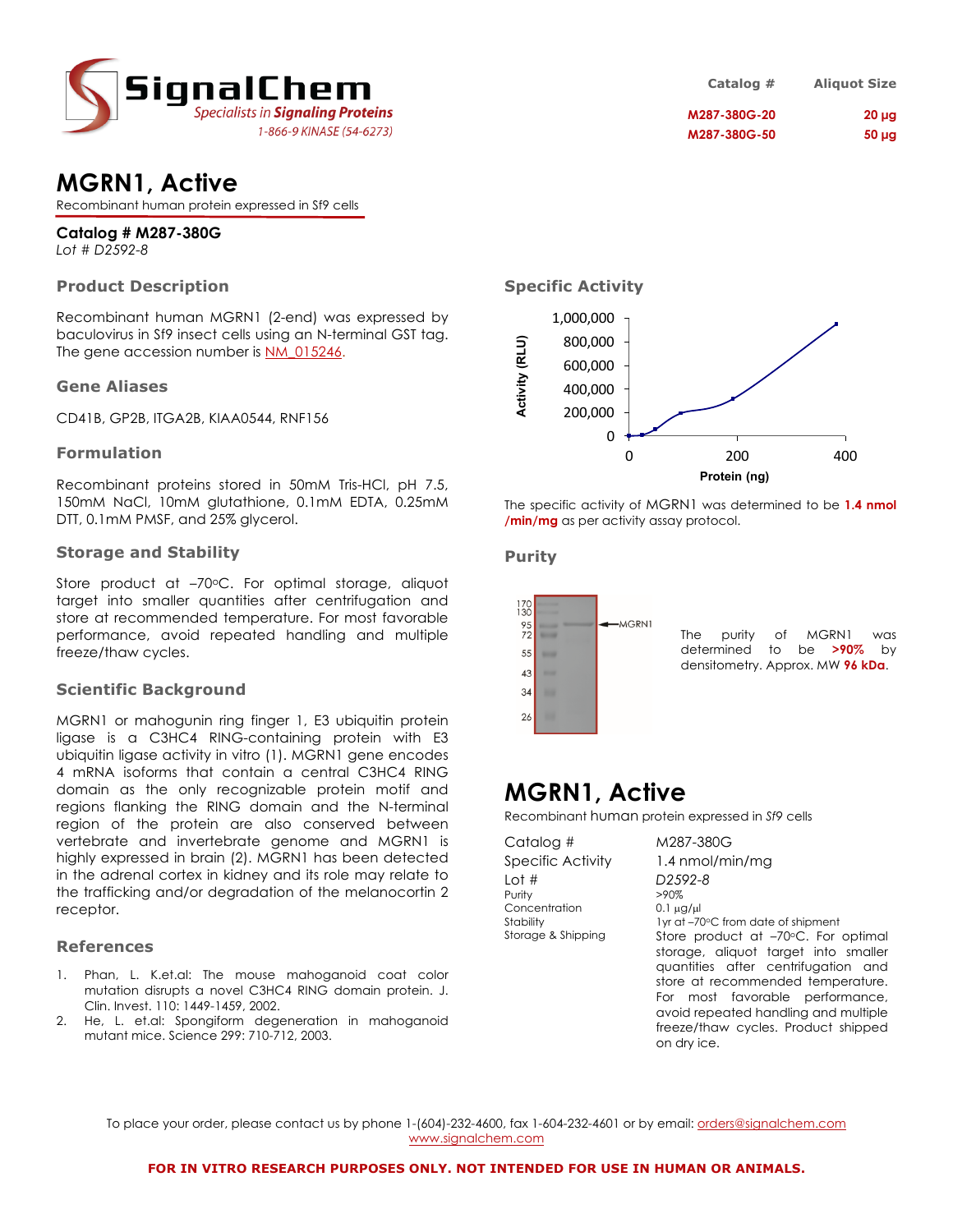

### **MGRN1, Active**

Recombinant human protein expressed in Sf9 cells

### **Catalog # M287-380G**

*Lot # D2592-8*

#### **Product Description**

Recombinant human MGRN1 (2-end) was expressed by baculovirus in Sf9 insect cells using an N-terminal GST tag. The gene accession number is NM\_015246.

#### **Gene Aliases**

CD41B, GP2B, ITGA2B, KIAA0544, RNF156

#### **Formulation**

Recombinant proteins stored in 50mM Tris-HCl, pH 7.5, 150mM NaCl, 10mM glutathione, 0.1mM EDTA, 0.25mM DTT, 0.1mM PMSF, and 25% glycerol.

#### **Storage and Stability**

Store product at -70°C. For optimal storage, aliquot target into smaller quantities after centrifugation and store at recommended temperature. For most favorable performance, avoid repeated handling and multiple freeze/thaw cycles.

#### **Scientific Background**

MGRN1 or mahogunin ring finger 1, E3 ubiquitin protein ligase is a C3HC4 RING-containing protein with E3 ubiquitin ligase activity in vitro (1). MGRN1 gene encodes 4 mRNA isoforms that contain a central C3HC4 RING domain as the only recognizable protein motif and regions flanking the RING domain and the N-terminal region of the protein are also conserved between vertebrate and invertebrate genome and MGRN1 is highly expressed in brain (2). MGRN1 has been detected in the adrenal cortex in kidney and its role may relate to the trafficking and/or degradation of the melanocortin 2 receptor.

#### **References**

- 1. Phan, L. K.et.al: The mouse mahoganoid coat color mutation disrupts a novel C3HC4 RING domain protein. J. Clin. Invest. 110: 1449-1459, 2002.
- 2. He, L. et.al: Spongiform degeneration in mahoganoid mutant mice. Science 299: 710-712, 2003.

| Catalog #    | <b>Aliquot Size</b> |
|--------------|---------------------|
| M287-380G-20 | $20 \mu$ g          |
| M287-380G-50 | $50 \mu g$          |

#### **Specific Activity**



The specific activity of MGRN1 was determined to be **1.4 nmol /min/mg** as per activity assay protocol.

#### **Purity**



## **MGRN1, Active**

Recombinant human protein expressed in *Sf9* cells

| Catalog #                                                           | M287-380G                                                                                                                                                                                                                                                                                                                       |
|---------------------------------------------------------------------|---------------------------------------------------------------------------------------------------------------------------------------------------------------------------------------------------------------------------------------------------------------------------------------------------------------------------------|
| Specific Activity                                                   | 1.4 nmol/min/mg                                                                                                                                                                                                                                                                                                                 |
| Lot #<br>Purity<br>Concentration<br>Stability<br>Storage & Shipping | D <sub>2592-8</sub><br>$>90\%$<br>$0.1 \mu g / \mu$<br>1yr at -70°C from date of shipment<br>Store product at -70°C. For optimal<br>storage, aliquot target into smaller<br>quantities after centrifugation and<br>store at recommended temperature.<br>For most favorable performance,<br>avoid repeated handling and multiple |
|                                                                     | freeze/thaw cycles. Product shipped                                                                                                                                                                                                                                                                                             |

on dry ice.

To place your order, please contact us by phone 1-(604)-232-4600, fax 1-604-232-4601 or by email: orders@signalchem.com www.signalchem.com